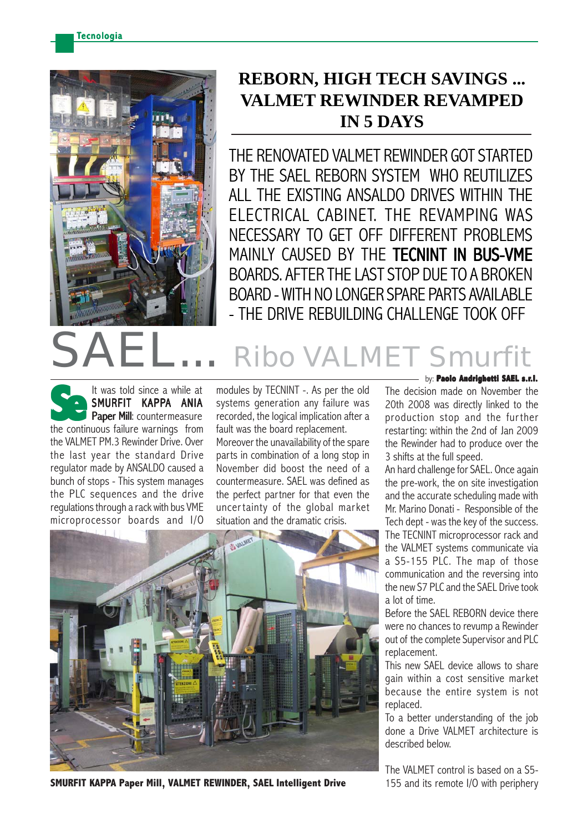

## **REBORN, HIGH TECH SAVINGS ... VALMET REWINDER REVAMPED IN 5 DAYS**

THE RENOVATED VALMET REWINDER GOT STARTED BY THE SAEL REBORN SYSTEM WHO REUTILIZES ALL THE EXISTING ANSALDO DRIVES WITHIN THE ELECTRICAL CABINET. THE REVAMPING WAS NECESSARY TO GET OFF DIFFERENT PROBLEMS MAINLY CAUSED BY THE TECNINT IN BUS-VME BOARDS. AFTER THE LAST STOP DUE TO A BROKEN BOARD - WITH NO LONGER SPARE PARTS AVAILABLE - THE DRIVE REBUILDING CHALLENGE TOOK OFF

## Ribo VALMI

It was told since a while at SMURFIT KAPPA ANIA Paper Mill: countermeasure It was told since a while at<br> **SMURFIT KAPPA ANIA**<br> **Paper Mill**: countermeasure<br>
the continuous failure warnings from the VALMET PM.3 Rewinder Drive. Over the last year the standard Drive regulator made by ANSALDO caused a bunch of stops - This system manages the PLC sequences and the drive regulations through a rack with bus VME microprocessor boards and I/O

modules by TECNINT -. As per the old systems generation any failure was recorded, the logical implication after a fault was the board replacement.

Moreover the unavailability of the spare parts in combination of a long stop in November did boost the need of a countermeasure. SAEL was defined as the perfect partner for that even the uncertainty of the global market situation and the dramatic crisis.



**SMURFIT KAPPA Paper Mill, VALMET REWINDER, SAEL Intelligent Drive** 155 and its remote I/O with periphery

## by: **Paolo Andrighetti SAEL s.r.l.**

The decision made on November the 20th 2008 was directly linked to the production stop and the further restarting: within the 2nd of Jan 2009 the Rewinder had to produce over the 3 shifts at the full speed.

An hard challenge for SAEL. Once again the pre-work, the on site investigation and the accurate scheduling made with Mr. Marino Donati - Responsible of the Tech dept - was the key of the success. The TECNINT microprocessor rack and the VALMET systems communicate via a S5-155 PLC. The map of those communication and the reversing into the new S7 PLC and the SAEL Drive took a lot of time.

Before the SAEL REBORN device there were no chances to revump a Rewinder out of the complete Supervisor and PLC replacement.

This new SAEL device allows to share gain within a cost sensitive market because the entire system is not replaced.

To a better understanding of the job done a Drive VALMET architecture is described below.

The VALMET control is based on a S5-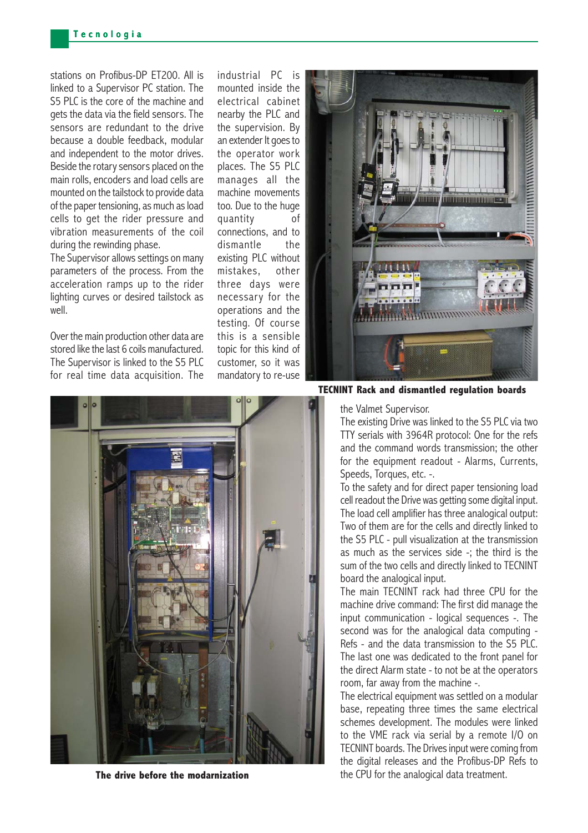stations on Profibus-DP FT200. All is linked to a Supervisor PC station. The S5 PLC is the core of the machine and gets the data via the field sensors. The sensors are redundant to the drive because a double feedback, modular and independent to the motor drives. Beside the rotary sensors placed on the main rolls, encoders and load cells are mounted on the tailstock to provide data of the paper tensioning, as much as load cells to get the rider pressure and vibration measurements of the coil during the rewinding phase.

The Supervisor allows settings on many parameters of the process. From the acceleration ramps up to the rider lighting curves or desired tailstock as well

Over the main production other data are stored like the last 6 coils manufactured. The Supervisor is linked to the S5 PLC for real time data acquisition. The

industrial PC is mounted inside the electrical cabinet nearby the PLC and the supervision. By an extender It goes to the operator work places. The S5 PLC manages all the machine movements too. Due to the huge quantity of connections, and to dismantle the existing PLC without mistakes, other three days were necessary for the operations and the testing. Of course this is a sensible topic for this kind of customer, so it was mandatory to re-use



**TECNINT Rack and dismantled regulation boards**

the Valmet Supervisor.

The existing Drive was linked to the S5 PLC via two TTY serials with 3964R protocol: One for the refs and the command words transmission; the other for the equipment readout - Alarms, Currents, Speeds, Torques, etc. -.

To the safety and for direct paper tensioning load cell readout the Drive was getting some digital input. The load cell amplifier has three analogical output: Two of them are for the cells and directly linked to the S5 PLC - pull visualization at the transmission as much as the services side -; the third is the sum of the two cells and directly linked to TECNINT board the analogical input.

The main TECNINT rack had three CPU for the machine drive command: The first did manage the input communication - logical sequences -. The second was for the analogical data computing - Refs - and the data transmission to the S5 PLC. The last one was dedicated to the front panel for the direct Alarm state - to not be at the operators room, far away from the machine -.

The electrical equipment was settled on a modular base, repeating three times the same electrical schemes development. The modules were linked to the VME rack via serial by a remote I/O on TECNINT boards. The Drives input were coming from the digital releases and the Profibus-DP Refs to **The drive before the modarnization** the CPU for the analogical data treatment.

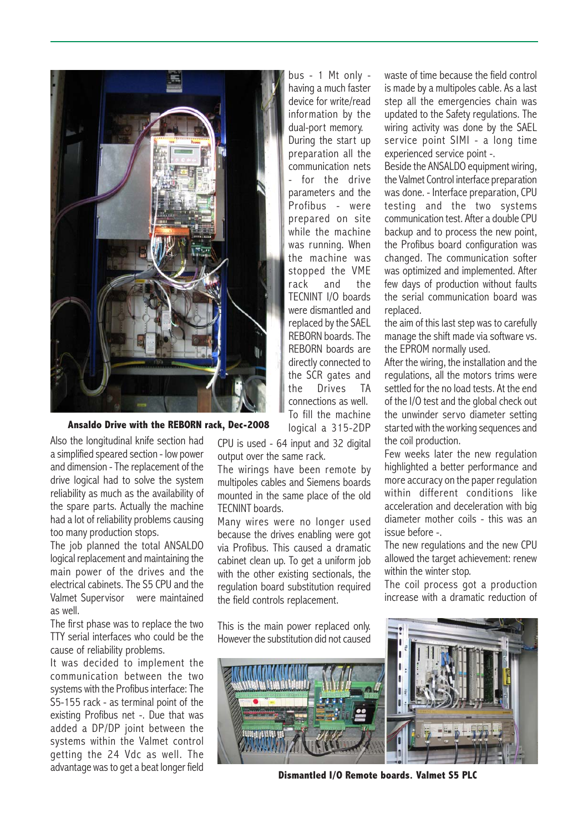

**Ansaldo Drive with the REBORN rack, Dec-2008**

Also the longitudinal knife section had a simplified speared section - low power and dimension - The replacement of the drive logical had to solve the system reliability as much as the availability of the spare parts. Actually the machine had a lot of reliability problems causing too many production stops.

The job planned the total ANSALDO logical replacement and maintaining the main power of the drives and the electrical cabinets. The S5 CPU and the Valmet Supervisor were maintained as well.

The first phase was to replace the two TTY serial interfaces who could be the cause of reliability problems.

It was decided to implement the communication between the two systems with the Profibus interface: The S5-155 rack - as terminal point of the existing Profibus net -. Due that was added a DP/DP joint between the systems within the Valmet control getting the 24 Vdc as well. The advantage was to get a beat longer field

bus - 1 Mt only having a much faster device for write/read information by the dual-port memory. During the start up preparation all the communication nets - for the drive parameters and the Profibus - were prepared on site while the machine was running. When the machine was stopped the VME rack and the TECNINT I/O boards were dismantled and replaced by the SAEL REBORN boards. The REBORN boards are directly connected to the SCR gates and the Drives TA connections as well. To fill the machine

logical a 315-2DP

CPU is used - 64 input and 32 digital output over the same rack.

The wirings have been remote by multipoles cables and Siemens boards mounted in the same place of the old TECNINT boards.

Many wires were no longer used because the drives enabling were got via Profibus. This caused a dramatic cabinet clean up. To get a uniform job with the other existing sectionals, the regulation board substitution required the field controls replacement.

This is the main power replaced only. However the substitution did not caused waste of time because the field control is made by a multipoles cable. As a last step all the emergencies chain was updated to the Safety regulations. The wiring activity was done by the SAEL service point SIMI - a long time experienced service point -.

Beside the ANSALDO equipment wiring, the Valmet Control interface preparation was done. - Interface preparation, CPU testing and the two systems communication test. After a double CPU backup and to process the new point, the Profibus board configuration was changed. The communication softer was optimized and implemented. After few days of production without faults the serial communication board was replaced.

the aim of this last step was to carefully manage the shift made via software vs. the EPROM normally used.

After the wiring, the installation and the regulations, all the motors trims were settled for the no load tests. At the end of the I/O test and the global check out the unwinder servo diameter setting started with the working sequences and the coil production.

Few weeks later the new regulation highlighted a better performance and more accuracy on the paper regulation within different conditions like acceleration and deceleration with big diameter mother coils - this was an issue before -.

The new regulations and the new CPU allowed the target achievement: renew within the winter stop.

The coil process got a production increase with a dramatic reduction of



**Dismantled I/O Remote boards. Valmet S5 PLC**